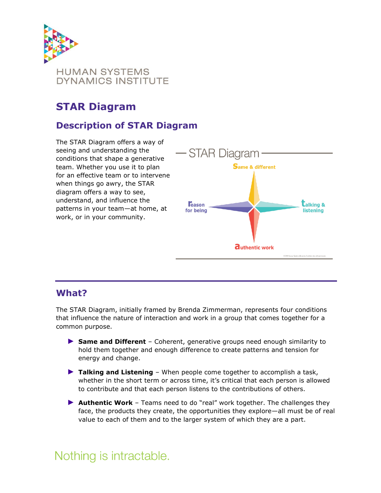

# **STAR Diagram**

### **Description of STAR Diagram**

The STAR Diagram offers a way of seeing and understanding the conditions that shape a generative team. Whether you use it to plan for an effective team or to intervene when things go awry, the STAR diagram offers a way to see, understand, and influence the patterns in your team—at home, at work, or in your community.



#### **What?**

The STAR Diagram, initially framed by Brenda Zimmerman, represents four conditions that influence the nature of interaction and work in a group that comes together for a common purpose.

- ► **Same and Different** Coherent, generative groups need enough similarity to hold them together and enough difference to create patterns and tension for energy and change.
- ► **Talking and Listening** When people come together to accomplish a task, whether in the short term or across time, it's critical that each person is allowed to contribute and that each person listens to the contributions of others.
- ► **Authentic Work** Teams need to do "real" work together. The challenges they face, the products they create, the opportunities they explore—all must be of real value to each of them and to the larger system of which they are a part.

# Nothing is intractable.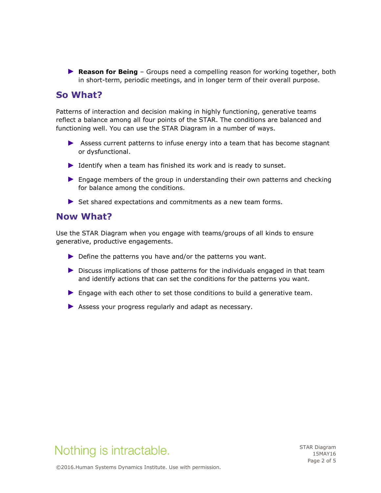► **Reason for Being** – Groups need a compelling reason for working together, both in short-term, periodic meetings, and in longer term of their overall purpose.

### **So What?**

Patterns of interaction and decision making in highly functioning, generative teams reflect a balance among all four points of the STAR. The conditions are balanced and functioning well. You can use the STAR Diagram in a number of ways.

- ► Assess current patterns to infuse energy into a team that has become stagnant or dysfunctional.
- ► Identify when a team has finished its work and is ready to sunset.
- ► Engage members of the group in understanding their own patterns and checking for balance among the conditions.
- ▶ Set shared expectations and commitments as a new team forms.

#### **Now What?**

Use the STAR Diagram when you engage with teams/groups of all kinds to ensure generative, productive engagements.

- ▶ Define the patterns you have and/or the patterns you want.
- ► Discuss implications of those patterns for the individuals engaged in that team and identify actions that can set the conditions for the patterns you want.
- ► Engage with each other to set those conditions to build a generative team.
- ▶ Assess your progress regularly and adapt as necessary.



STAR Diagram 15MAY16 Page 2 of 5

©2016.Human Systems Dynamics Institute. Use with permission.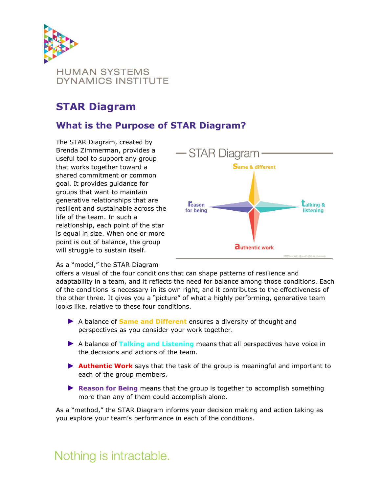

# **STAR Diagram**

## **What is the Purpose of STAR Diagram?**

The STAR Diagram, created by Brenda Zimmerman, provides a useful tool to support any group that works together toward a shared commitment or common goal. It provides guidance for groups that want to maintain generative relationships that are resilient and sustainable across the life of the team. In such a relationship, each point of the star is equal in size. When one or more point is out of balance, the group will struggle to sustain itself.



#### As a "model," the STAR Diagram

offers a visual of the four conditions that can shape patterns of resilience and adaptability in a team, and it reflects the need for balance among those conditions. Each of the conditions is necessary in its own right, and it contributes to the effectiveness of the other three. It gives you a "picture" of what a highly performing, generative team looks like, relative to these four conditions.

- ► A balance of **Same and Different** ensures a diversity of thought and perspectives as you consider your work together.
- ► A balance of **Talking and Listening** means that all perspectives have voice in the decisions and actions of the team.
- ► **Authentic Work** says that the task of the group is meaningful and important to each of the group members.
- ► **Reason for Being** means that the group is together to accomplish something more than any of them could accomplish alone.

As a "method," the STAR Diagram informs your decision making and action taking as you explore your team's performance in each of the conditions.

# Nothing is intractable.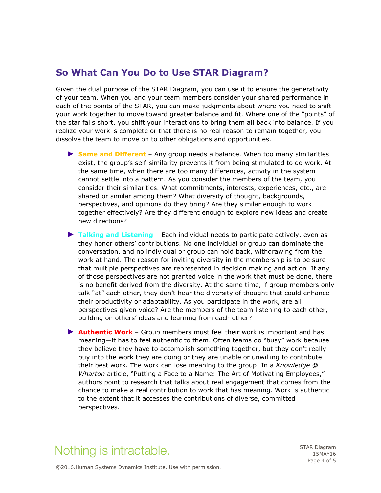#### **So What Can You Do to Use STAR Diagram?**

Given the dual purpose of the STAR Diagram, you can use it to ensure the generativity of your team. When you and your team members consider your shared performance in each of the points of the STAR, you can make judgments about where you need to shift your work together to move toward greater balance and fit. Where one of the "points" of the star falls short, you shift your interactions to bring them all back into balance. If you realize your work is complete or that there is no real reason to remain together, you dissolve the team to move on to other obligations and opportunities.

- ► **Same and Different** Any group needs a balance. When too many similarities exist, the group's self-similarity prevents it from being stimulated to do work. At the same time, when there are too many differences, activity in the system cannot settle into a pattern. As you consider the members of the team, you consider their similarities. What commitments, interests, experiences, etc., are shared or similar among them? What diversity of thought, backgrounds, perspectives, and opinions do they bring? Are they similar enough to work together effectively? Are they different enough to explore new ideas and create new directions?
- ► **Talking and Listening** Each individual needs to participate actively, even as they honor others' contributions. No one individual or group can dominate the conversation, and no individual or group can hold back, withdrawing from the work at hand. The reason for inviting diversity in the membership is to be sure that multiple perspectives are represented in decision making and action. If any of those perspectives are not granted voice in the work that must be done, there is no benefit derived from the diversity. At the same time, if group members only talk "at" each other, they don't hear the diversity of thought that could enhance their productivity or adaptability. As you participate in the work, are all perspectives given voice? Are the members of the team listening to each other, building on others' ideas and learning from each other?
- ► **Authentic Work** Group members must feel their work is important and has meaning—it has to feel authentic to them. Often teams do "busy" work because they believe they have to accomplish something together, but they don't really buy into the work they are doing or they are unable or unwilling to contribute their best work. The work can lose meaning to the group. In a *Knowledge @ Wharton* article, "Putting a Face to a Name: The Art of Motivating Employees," authors point to research that talks about real engagement that comes from the chance to make a real contribution to work that has meaning. Work is authentic to the extent that it accesses the contributions of diverse, committed perspectives.

# Nothing is intractable.

STAR Diagram 15MAY16 Page 4 of 5